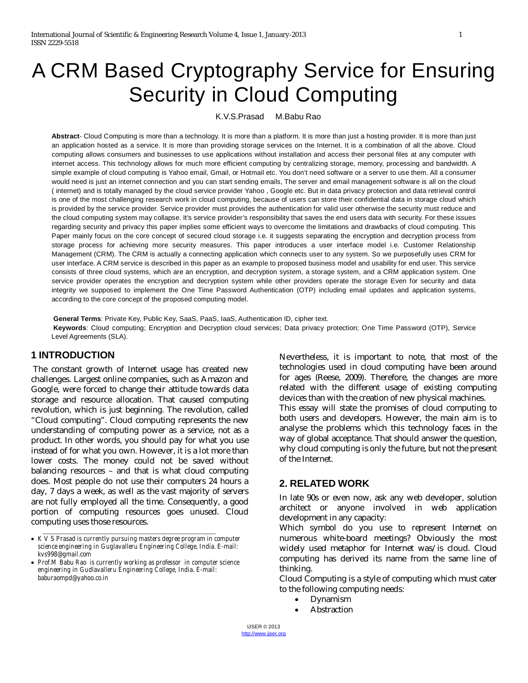# A CRM Based Cryptography Service for Ensuring Security in Cloud Computing

K.V.S.Prasad M.Babu Rao

**Abstract**- Cloud Computing is more than a technology. It is more than a platform. It is more than just a hosting provider. It is more than just an application hosted as a service. It is more than providing storage services on the Internet. It is a combination of all the above. Cloud computing allows consumers and businesses to use applications without installation and access their personal files at any computer with internet access. This technology allows for much more efficient computing by centralizing storage, memory, processing and bandwidth. A simple example of cloud computing is Yahoo email, Gmail, or Hotmail etc. You don't need software or a server to use them. All a consumer would need is just an internet connection and you can start sending emails, The server and email management software is all on the cloud ( internet) and is totally managed by the cloud service provider Yahoo , Google etc. But in data privacy protection and data retrieval control is one of the most challenging research work in cloud computing, because of users can store their confidential data in storage cloud which is provided by the service provider. Service provider must provides the authentication for valid user otherwise the security must reduce and the cloud computing system may collapse. It's service provider's responsibility that saves the end users data with security. For these issues regarding security and privacy this paper implies some efficient ways to overcome the limitations and drawbacks of cloud computing. This Paper mainly focus on the core concept of secured cloud storage i.e. it suggests separating the encryption and decryption process from storage process for achieving more security measures. This paper introduces a user interface model i.e. Customer Relationship Management (CRM). The CRM is actually a connecting application which connects user to any system. So we purposefully uses CRM for user interface. A CRM service is described in this paper as an example to proposed business model and usability for end user. This service consists of three cloud systems, which are an encryption, and decryption system, a storage system, and a CRM application system. One service provider operates the encryption and decryption system while other providers operate the storage Even for security and data integrity we supposed to implement the One Time Password Authentication (OTP) including email updates and application systems, according to the core concept of the proposed computing model.

**General Terms**: Private Key, Public Key, SaaS, PaaS, IaaS, Authentication ID, cipher text. **Keywords**: Cloud computing; Encryption and Decryption cloud services; Data privacy protection; One Time Password (OTP), Service Level Agreements (SLA).

# **1 INTRODUCTION**

The constant growth of Internet usage has created new challenges. Largest online companies, such as Amazon and Google, were forced to change their attitude towards data storage and resource allocation. That caused computing revolution, which is just beginning. The revolution, called "Cloud computing". Cloud computing represents the new understanding of computing power as a service, not as a product. In other words, you should pay for what you use instead of for what you own. However, it is a lot more than lower costs. The money could not be saved without balancing resources – and that is what cloud computing does. Most people do not use their computers 24 hours a day, 7 days a week, as well as the vast majority of servers are not fully employed all the time. Consequently, a good portion of computing resources goes unused. Cloud computing uses those resources.

 *K V S Prasad is currently pursuing masters degree program in computer science engineering in Guglavalleru Engineering College, India. E-mail: kvs998@gmail.com*

\_\_\_\_\_\_\_\_\_\_\_\_\_\_\_\_\_\_\_\_\_\_\_\_\_\_\_\_\_\_\_\_\_\_\_\_\_\_\_\_\_\_\_\_\_\_\_\_\_\_

 *Prof.M Babu Rao is currently working as professor in computer science engineering in Gudlavalleru Engineering College, India. E-mail: baburaompd@yahoo.co.in*

Nevertheless, it is important to note, that most of the technologies used in cloud computing have been around for ages (Reese, 2009). Therefore, the changes are more related with the different usage of existing computing devices than with the creation of new physical machines. This essay will state the promises of cloud computing to both users and developers. However, the main aim is to analyse the problems which this technology faces in the way of global acceptance. That should answer the question, why cloud computing is only the future, but not the present of the Internet.

# **2. RELATED WORK**

In late 90s or even now, ask any web developer, solution architect or anyone involved in web application development in any capacity:

Which symbol do you use to represent Internet on numerous white-board meetings? Obviously the most widely used metaphor for Internet was/is cloud. Cloud computing has derived its name from the same line of thinking.

Cloud Computing is a style of computing which must cater to the following computing needs:

- Dynamism
- Abstraction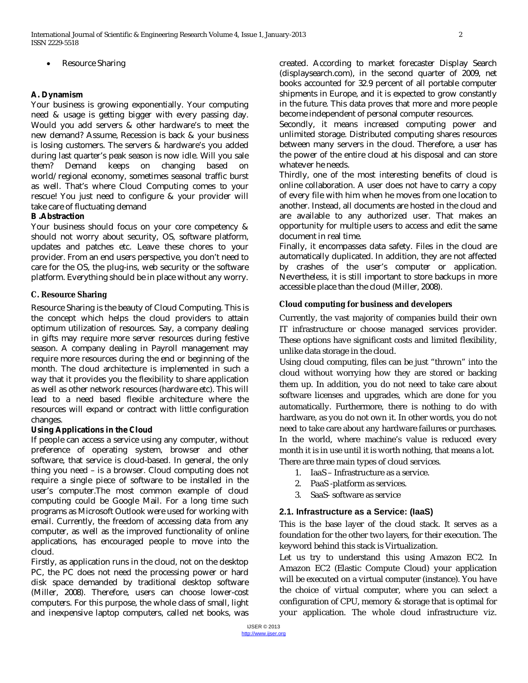Resource Sharing

### **A. Dynamism**

Your business is growing exponentially. Your computing need & usage is getting bigger with every passing day. Would you add servers & other hardware's to meet the new demand? Assume, Recession is back & your business is losing customers. The servers & hardware's you added during last quarter's peak season is now idle. Will you sale them? Demand keeps on changing based on world/regional economy, sometimes seasonal traffic burst as well. That's where Cloud Computing comes to your rescue! You just need to configure & your provider will take care of fluctuating demand

#### **B .Abstraction**

Your business should focus on your core competency & should not worry about security, OS, software platform, updates and patches etc. Leave these chores to your provider. From an end users perspective, you don't need to care for the OS, the plug-ins, web security or the software platform. Everything should be in place without any worry.

#### **C. Resource Sharing**

Resource Sharing is the beauty of Cloud Computing. This is the concept which helps the cloud providers to attain optimum utilization of resources. Say, a company dealing in gifts may require more server resources during festive season. A company dealing in Payroll management may require more resources during the end or beginning of the month. The cloud architecture is implemented in such a way that it provides you the flexibility to share application as well as other network resources (hardware etc). This will lead to a need based flexible architecture where the resources will expand or contract with little configuration changes.

#### **Using Applications in the Cloud**

If people can access a service using any computer, without preference of operating system, browser and other software, that service is cloud-based. In general, the only thing you need – is a browser. Cloud computing does not require a single piece of software to be installed in the user's computer.The most common example of cloud computing could be Google Mail. For a long time such programs as Microsoft Outlook were used for working with email. Currently, the freedom of accessing data from any computer, as well as the improved functionality of online applications, has encouraged people to move into the cloud.

Firstly, as application runs in the cloud, not on the desktop PC, the PC does not need the processing power or hard disk space demanded by traditional desktop software (Miller, 2008). Therefore, users can choose lower-cost computers. For this purpose, the whole class of small, light and inexpensive laptop computers, called net books, was created. According to market forecaster Display Search (displaysearch.com), in the second quarter of 2009, net books accounted for 32.9 percent of all portable computer shipments in Europe, and it is expected to grow constantly in the future. This data proves that more and more people become independent of personal computer resources.

Secondly, it means increased computing power and unlimited storage. Distributed computing shares resources between many servers in the cloud. Therefore, a user has the power of the entire cloud at his disposal and can store whatever he needs.

Thirdly, one of the most interesting benefits of cloud is online collaboration. A user does not have to carry a copy of every file with him when he moves from one location to another. Instead, all documents are hosted in the cloud and are available to any authorized user. That makes an opportunity for multiple users to access and edit the same document in real time.

Finally, it encompasses data safety. Files in the cloud are automatically duplicated. In addition, they are not affected by crashes of the user's computer or application. Nevertheless, it is still important to store backups in more accessible place than the cloud (Miller, 2008).

#### **Cloud computing for business and developers**

Currently, the vast majority of companies build their own IT infrastructure or choose managed services provider. These options have significant costs and limited flexibility, unlike data storage in the cloud.

Using cloud computing, files can be just "thrown" into the cloud without worrying how they are stored or backing them up. In addition, you do not need to take care about software licenses and upgrades, which are done for you automatically. Furthermore, there is nothing to do with hardware, as you do not own it. In other words, you do not need to take care about any hardware failures or purchases. In the world, where machine's value is reduced every month it is in use until it is worth nothing, that means a lot. There are three main types of cloud services.

- 1. IaaS Infrastructure as a service.
- 2. PaaS -platform as services.
- 3. SaaS- software as service

# **2.1. Infrastructure as a Service: (IaaS)**

This is the base layer of the cloud stack. It serves as a foundation for the other two layers, for their execution. The keyword behind this stack is Virtualization.

Let us try to understand this using Amazon EC2. In Amazon EC2 (Elastic Compute Cloud) your application will be executed on a virtual computer (instance). You have the choice of virtual computer, where you can select a configuration of CPU, memory & storage that is optimal for your application. The whole cloud infrastructure viz.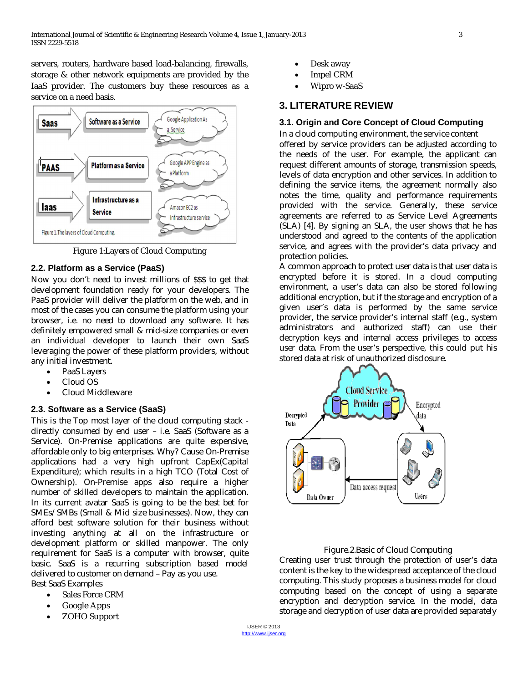servers, routers, hardware based load-balancing, firewalls, storage & other network equipments are provided by the IaaS provider. The customers buy these resources as a service on a need basis.



Figure 1:Layers of Cloud Computing

# **2.2. Platform as a Service (PaaS)**

Now you don't need to invest millions of \$\$\$ to get that development foundation ready for your developers. The PaaS provider will deliver the platform on the web, and in most of the cases you can consume the platform using your browser, i.e. no need to download any software. It has definitely empowered small & mid-size companies or even an individual developer to launch their own SaaS leveraging the power of these platform providers, without any initial investment.

- PaaS Layers
- Cloud OS
- Cloud Middleware

# **2.3. Software as a Service (SaaS)**

This is the Top most layer of the cloud computing stack directly consumed by end user – i.e. SaaS (Software as a Service). On-Premise applications are quite expensive, affordable only to big enterprises. Why? Cause On-Premise applications had a very high upfront CapEx(Capital Expenditure); which results in a high TCO (Total Cost of Ownership). On-Premise apps also require a higher number of skilled developers to maintain the application. In its current avatar SaaS is going to be the best bet for SMEs/SMBs (Small & Mid size businesses). Now, they can afford best software solution for their business without investing anything at all on the infrastructure or development platform or skilled manpower. The only requirement for SaaS is a computer with browser, quite basic. SaaS is a recurring subscription based model delivered to customer on demand – Pay as you use. Best SaaS Examples

- Sales Force CRM
- Google Apps
- ZOHO Support
- Desk away
- Impel CRM
- Wipro w-SaaS

# **3. LITERATURE REVIEW**

#### **3.1. Origin and Core Concept of Cloud Computing**

In a cloud computing environment, the service content offered by service providers can be adjusted according to the needs of the user. For example, the applicant can request different amounts of storage, transmission speeds, levels of data encryption and other services. In addition to defining the service items, the agreement normally also notes the time, quality and performance requirements provided with the service. Generally, these service agreements are referred to as Service Level Agreements (SLA) [4]. By signing an SLA, the user shows that he has understood and agreed to the contents of the application service, and agrees with the provider's data privacy and protection policies.

A common approach to protect user data is that user data is encrypted before it is stored. In a cloud computing environment, a user's data can also be stored following additional encryption, but if the storage and encryption of a given user's data is performed by the same service provider, the service provider's internal staff (e.g., system administrators and authorized staff) can use their decryption keys and internal access privileges to access user data. From the user's perspective, this could put his stored data at risk of unauthorized disclosure.



#### Figure.2.Basic of Cloud Computing

Creating user trust through the protection of user's data content is the key to the widespread acceptance of the cloud computing. This study proposes a business model for cloud computing based on the concept of using a separate encryption and decryption service. In the model, data storage and decryption of user data are provided separately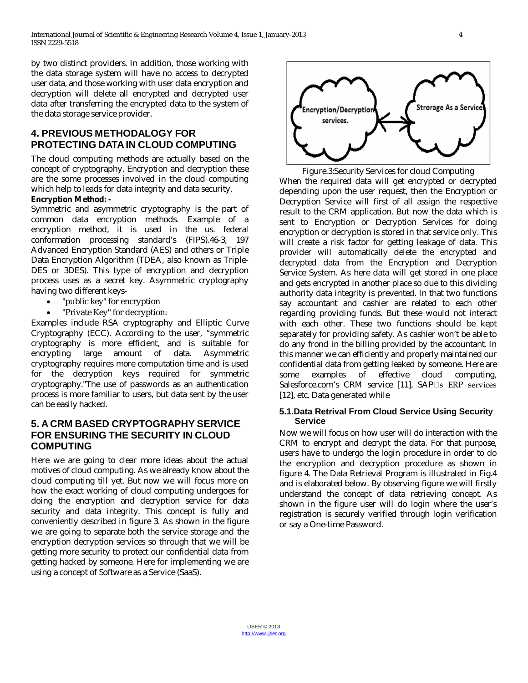by two distinct providers. In addition, those working with the data storage system will have no access to decrypted user data, and those working with user data encryption and decryption will delete all encrypted and decrypted user data after transferring the encrypted data to the system of the data storage service provider.

# **4. PREVIOUS METHODALOGY FOR PROTECTING DATA IN CLOUD COMPUTING**

The cloud computing methods are actually based on the concept of cryptography. Encryption and decryption these are the some processes involved in the cloud computing which help to leads for data integrity and data security.

#### **Encryption Method: -**

Symmetric and asymmetric cryptography is the part of common data encryption methods. Example of a encryption method, it is used in the us. federal conformation processing standard's (FIPS).46-3, 197 Advanced Encryption Standard (AES) and others or Triple Data Encryption Algorithm (TDEA, also known as Triple-DES or 3DES). This type of encryption and decryption process uses as a secret key. Asymmetric cryptography having two different keys-

- "public key" for encryption
- "Private Key" for decryption:

Examples include RSA cryptography and Elliptic Curve Cryptography (ECC). According to the user, "symmetric cryptography is more efficient, and is suitable for encrypting large amount of data. Asymmetric cryptography requires more computation time and is used for the decryption keys required for symmetric cryptography."The use of passwords as an authentication process is more familiar to users, but data sent by the user can be easily hacked.

# **5. A CRM BASED CRYPTOGRAPHY SERVICE FOR ENSURING THE SECURITY IN CLOUD COMPUTING**

Here we are going to clear more ideas about the actual motives of cloud computing. As we already know about the cloud computing till yet. But now we will focus more on how the exact working of cloud computing undergoes for doing the encryption and decryption service for data security and data integrity. This concept is fully and conveniently described in figure 3. As shown in the figure we are going to separate both the service storage and the encryption decryption services so through that we will be getting more security to protect our confidential data from getting hacked by someone. Here for implementing we are using a concept of Software as a Service (SaaS).



Figure.3:Security Services for cloud Computing When the required data will get encrypted or decrypted depending upon the user request, then the Encryption or Decryption Service will first of all assign the respective result to the CRM application. But now the data which is sent to Encryption or Decryption Services for doing encryption or decryption is stored in that service only. This will create a risk factor for getting leakage of data. This provider will automatically delete the encrypted and decrypted data from the Encryption and Decryption Service System. As here data will get stored in one place and gets encrypted in another place so due to this dividing authority data integrity is prevented. In that two functions say accountant and cashier are related to each other regarding providing funds. But these would not interact with each other. These two functions should be kept separately for providing safety. As cashier won't be able to do any frond in the billing provided by the accountant. In this manner we can efficiently and properly maintained our confidential data from getting leaked by someone. Here are some examples of effective cloud computing, Salesforce.com's CRM service [11], SAPas ERP services [12], etc. Data generated while

#### **5.1.Data Retrival From Cloud Service Using Security Service**

Now we will focus on how user will do interaction with the CRM to encrypt and decrypt the data. For that purpose, users have to undergo the login procedure in order to do the encryption and decryption procedure as shown in figure 4. The Data Retrieval Program is illustrated in Fig.4 and is elaborated below. By observing figure we will firstly understand the concept of data retrieving concept. As shown in the figure user will do login where the user's registration is securely verified through login verification or say a One-time Password.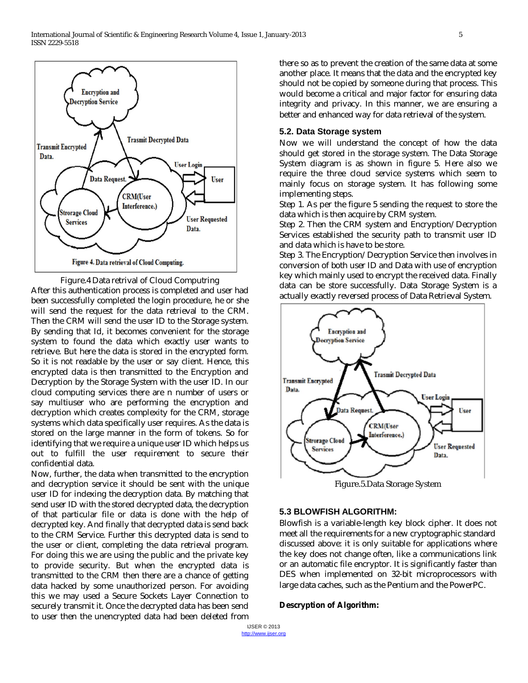

Figure.4 Data retrival of Cloud Computring After this authentication process is completed and user had been successfully completed the login procedure, he or she will send the request for the data retrieval to the CRM. Then the CRM will send the user ID to the Storage system. By sending that Id, it becomes convenient for the storage system to found the data which exactly user wants to retrieve. But here the data is stored in the encrypted form. So it is not readable by the user or say client. Hence, this encrypted data is then transmitted to the Encryption and Decryption by the Storage System with the user ID. In our cloud computing services there are n number of users or say multiuser who are performing the encryption and decryption which creates complexity for the CRM, storage systems which data specifically user requires. As the data is stored on the large manner in the form of tokens. So for identifying that we require a unique user ID which helps us out to fulfill the user requirement to secure their confidential data.

Now, further, the data when transmitted to the encryption and decryption service it should be sent with the unique user ID for indexing the decryption data. By matching that send user ID with the stored decrypted data, the decryption of that particular file or data is done with the help of decrypted key. And finally that decrypted data is send back to the CRM Service. Further this decrypted data is send to the user or client, completing the data retrieval program. For doing this we are using the public and the private key to provide security. But when the encrypted data is transmitted to the CRM then there are a chance of getting data hacked by some unauthorized person. For avoiding this we may used a Secure Sockets Layer Connection to securely transmit it. Once the decrypted data has been send to user then the unencrypted data had been deleted from

there so as to prevent the creation of the same data at some another place. It means that the data and the encrypted key should not be copied by someone during that process. This would become a critical and major factor for ensuring data integrity and privacy. In this manner, we are ensuring a better and enhanced way for data retrieval of the system.

#### **5.2. Data Storage system**

Now we will understand the concept of how the data should get stored in the storage system. The Data Storage System diagram is as shown in figure 5. Here also we require the three cloud service systems which seem to mainly focus on storage system. It has following some implementing steps.

Step 1. As per the figure 5 sending the request to store the data which is then acquire by CRM system.

Step 2. Then the CRM system and Encryption/Decryption Services established the security path to transmit user ID and data which is have to be store.

Step 3. The Encryption/Decryption Service then involves in conversion of both user ID and Data with use of encryption key which mainly used to encrypt the received data. Finally data can be store successfully. Data Storage System is a actually exactly reversed process of Data Retrieval System.



Figure.5.Data Storage System

# **5.3 BLOWFISH ALGORITHM:**

Blowfish is a variable-length key block cipher. It does not meet all the requirements for a new cryptographic standard discussed above: it is only suitable for applications where the key does not change often, like a communications link or an automatic file encryptor. It is significantly faster than DES when implemented on 32-bit microprocessors with large data caches, such as the Pentium and the PowerPC.

#### **Descryption of Algorithm:**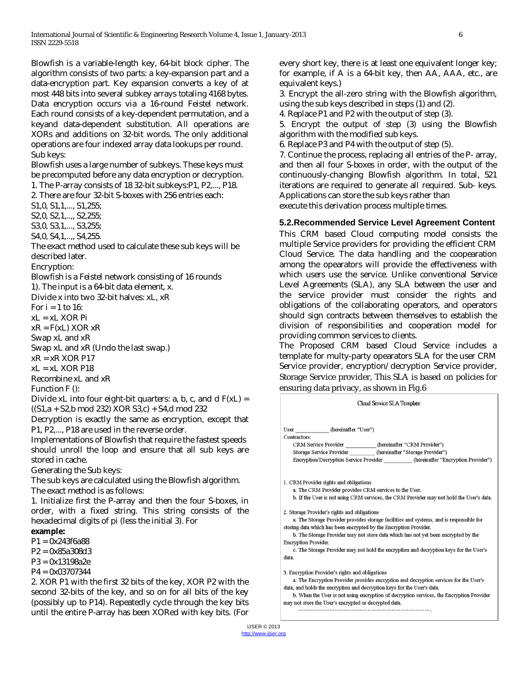Blowfish is a variable-length key, 64-bit block cipher. The algorithm consists of two parts: a key-expansion part and a data-encryption part. Key expansion converts a key of at most 448 bits into several subkey arrays totaling 4168 bytes. Data encryption occurs via a 16-round Feistel network. Each round consists of a key-dependent permutation, and a keyand data-dependent substitution. All operations are XORs and additions on 32-bit words. The only additional operations are four indexed array data lookups per round. Sub keys:

Blowfish uses a large number of subkeys. These keys must be precomputed before any data encryption or decryption. 1. The P-array consists of 18 32-bit subkeys:P1, P2,..., P18.

2. There are four 32-bit S-boxes with 256 entries each:

S1,0, S1,1,..., S1,255;

S2,0, S2,1,..,, S2,255;

S3,0, S3,1,..., S3,255;

S4,0, S4,1,..,, S4,255.

The exact method used to calculate these sub keys will be described later.

Encryption:

Blowfish is a Feistel network consisting of 16 rounds 1). The input is a 64-bit data element, x.

Divide x into two 32-bit halves: xL, xR

For  $i = 1$  to 16:

xL = xL XOR Pi

 $xR = F(xL) XOR xR$ 

Swap xL and xR

Swap xL and xR (Undo the last swap.)

 $xR = xR XOR P17$ 

 $xL = xL$  XOR P18

Recombine xL and xR

Function F ():

Divide xL into four eight-bit quarters:  $a, b, c,$  and d  $F(xL) =$ ((S1,a + S2,b mod 232) XOR S3,c) + S4,d mod 232

Decryption is exactly the same as encryption, except that P1, P2,..., P18 are used in the reverse order.

Implementations of Blowfish that require the fastest speeds should unroll the loop and ensure that all sub keys are stored in cache.

Generating the Sub keys:

The sub keys are calculated using the Blowfish algorithm.

The exact method is as follows:

1. Initialize first the P-array and then the four S-boxes, in order, with a fixed string. This string consists of the hexadecimal digits of pi (less the initial 3). For

# **example:**

P1 = 0x243f6a88

P2 = 0x85a308d3

P3 = 0x13198a2e

P4 = 0x03707344

2. XOR P1 with the first 32 bits of the key, XOR P2 with the second 32-bits of the key, and so on for all bits of the key (possibly up to P14). Repeatedly cycle through the key bits until the entire P-array has been XORed with key bits. (For every short key, there is at least one equivalent longer key; for example, if A is a 64-bit key, then AA, AAA, etc., are equivalent keys.)

3. Encrypt the all-zero string with the Blowfish algorithm, using the sub keys described in steps (1) and (2).

4. Replace P1 and P2 with the output of step (3).

5. Encrypt the output of step (3) using the Blowfish algorithm with the modified sub keys.

6. Replace P3 and P4 with the output of step (5).

7. Continue the process, replacing all entries of the P- array, and then all four S-boxes in order, with the output of the continuously-changing Blowfish algorithm. In total, 521 iterations are required to generate all required. Sub- keys. Applications can store the sub keys rather than

execute this derivation process multiple times.

#### **5.2.Recommended Service Level Agreement Content**

This CRM based Cloud computing model consists the multiple Service providers for providing the efficient CRM Cloud Service. The data handling and the coopearation among the opearators will provide the effectiveness with which users use the service. Unlike conventional Service Level Agreements (SLA), any SLA between the user and the service provider must consider the rights and obligations of the collaborating operators, and operators should sign contracts between themselves to establish the division of responsibilities and cooperation model for providing common services to clients.

The Proposed CRM based Cloud Service includes a template for multy-party opearators SLA for the user CRM Service provider, encryption/decryption Service provider, Storage Service provider, This SLA is based on policies for ensuring data privacy, as shown in Fig.6

| Cloud Service SLA Template                                                                                                                                                                                                                                                                                                                                                                                                           |
|--------------------------------------------------------------------------------------------------------------------------------------------------------------------------------------------------------------------------------------------------------------------------------------------------------------------------------------------------------------------------------------------------------------------------------------|
| User (hereinafter "User")<br>Contractors:<br>CRM Service Provider ___________ (hereinafter "CRM Provider")<br>Storage Service Provider _________ (hereinafter "Storage Provider")<br>Encryption/Decryption Service Provider (hereinafter "Encryption Provider")                                                                                                                                                                      |
| 1. CRM Provider rights and obligations<br>a. The CRM Provider provides CRM services to the User.<br>b. If the User is not using CRM services, the CRM Provider may not hold the User's data.                                                                                                                                                                                                                                         |
| 2. Storage Provider's rights and obligations<br>a. The Storage Provider provides storage facilities and systems, and is responsible for<br>storing data which has been encrypted by the Encryption Provider.<br>b. The Storage Provider may not store data which has not yet been encrypted by the<br><b>Encryption Provider.</b><br>c. The Storage Provider may not hold the encryption and decryption keys for the User's<br>data. |
| 3. Encryption Provider's rights and obligations<br>a. The Encryption Provider provides encryption and decryption services for the User's<br>data, and holds the encryption and decryption keys for the User's data.<br>b. When the User is not using encryption of decryption services, the Encryption Provider<br>may not store the User's encrypted or decrypted data.                                                             |